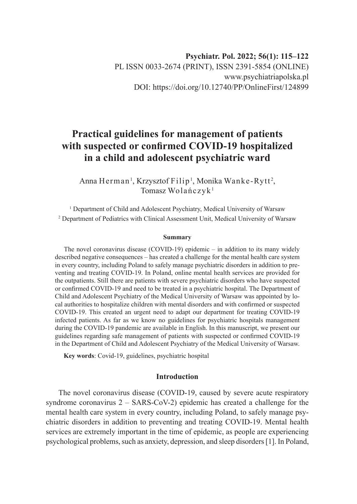# **Practical guidelines for management of patients with suspected or confirmed COVID-19 hospitalized in a child and adolescent psychiatric ward**

Anna Herman<sup>1</sup>, Krzysztof Filip<sup>1</sup>, Monika Wanke-Rytt<sup>2</sup>, Tomasz Wolańczyk<sup>1</sup>

<sup>1</sup> Department of Child and Adolescent Psychiatry, Medical University of Warsaw 2 Department of Pediatrics with Clinical Assessment Unit, Medical University of Warsaw

#### **Summary**

The novel coronavirus disease (COVID-19) epidemic – in addition to its many widely described negative consequences – has created a challenge for the mental health care system in every country, including Poland to safely manage psychiatric disorders in addition to preventing and treating COVID-19. In Poland, online mental health services are provided for the outpatients. Still there are patients with severe psychiatric disorders who have suspected or confirmed COVID-19 and need to be treated in a psychiatric hospital. The Department of Child and Adolescent Psychiatry of the Medical University of Warsaw was appointed by local authorities to hospitalize children with mental disorders and with confirmed or suspected COVID-19. This created an urgent need to adapt our department for treating COVID-19 infected patients. As far as we know no guidelines for psychiatric hospitals management during the COVID-19 pandemic are available in English. In this manuscript, we present our guidelines regarding safe management of patients with suspected or confirmed COVID-19 in the Department of Child and Adolescent Psychiatry of the Medical University of Warsaw.

**Key words**: Covid-19, guidelines, psychiatric hospital

## **Introduction**

The novel coronavirus disease (COVID-19, caused by severe acute respiratory syndrome coronavirus 2 – SARS-CoV-2) epidemic has created a challenge for the mental health care system in every country, including Poland, to safely manage psychiatric disorders in addition to preventing and treating COVID-19. Mental health services are extremely important in the time of epidemic, as people are experiencing psychological problems, such as anxiety, depression, and sleep disorders [1]. In Poland,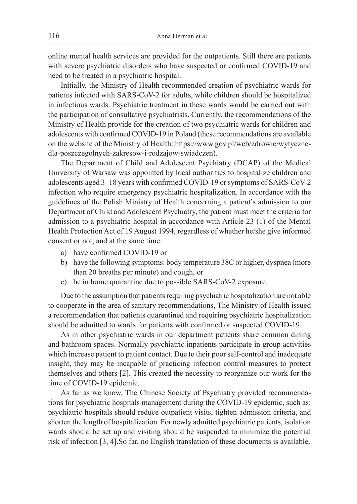online mental health services are provided for the outpatients. Still there are patients with severe psychiatric disorders who have suspected or confirmed COVID-19 and need to be treated in a psychiatric hospital.

Initially, the Ministry of Health recommended creation of psychiatric wards for patients infected with SARS-CoV-2 for adults, while children should be hospitalized in infectious wards. Psychiatric treatment in these wards would be carried out with the participation of consultative psychiatrists. Currently, the recommendations of the Ministry of Health provide for the creation of two psychiatric wards for children and adolescents with confirmed COVID-19 in Poland (these recommendations are available on the website of the Ministry of Health: https://www.gov.pl/web/zdrowie/wytycznedla-poszczegolnych-zakresow-i-rodzajow-swiadczen).

The Department of Child and Adolescent Psychiatry (DCAP) of the Medical University of Warsaw was appointed by local authorities to hospitalize children and adolescents aged 3–18 years with confirmed COVID-19 or symptoms of SARS-CoV-2 infection who require emergency psychiatric hospitalization. In accordance with the guidelines of the Polish Ministry of Health concerning a patient's admission to our Department of Child and Adolescent Psychiatry, the patient must meet the criteria for admission to a psychiatric hospital in accordance with Article 23 (1) of the Mental Health Protection Act of 19 August 1994, regardless of whether he/she give informed consent or not, and at the same time:

- a) have confirmed COVID-19 or
- b) have the following symptoms: body temperature 38C or higher, dyspnea (more than 20 breaths per minute) and cough, or
- c) be in home quarantine due to possible SARS-CoV-2 exposure.

Due to the assumption that patients requiring psychiatric hospitalization are not able to cooperate in the area of sanitary recommendations, The Ministry of Health issued a recommendation that patients quarantined and requiring psychiatric hospitalization should be admitted to wards for patients with confirmed or suspected COVID-19.

As in other psychiatric wards in our department patients share common dining and bathroom spaces. Normally psychiatric inpatients participate in group activities which increase patient to patient contact. Due to their poor self-control and inadequate insight, they may be incapable of practicing infection control measures to protect themselves and others [2]. This created the necessity to reorganize our work for the time of COVID-19 epidemic.

As far as we know, The Chinese Society of Psychiatry provided recommendations for psychiatric hospitals management during the COVID-19 epidemic, such as: psychiatric hospitals should reduce outpatient visits, tighten admission criteria, and shorten the length of hospitalization. For newly admitted psychiatric patients, isolation wards should be set up and visiting should be suspended to minimize the potential risk of infection [3, 4].So far, no English translation of these documents is available.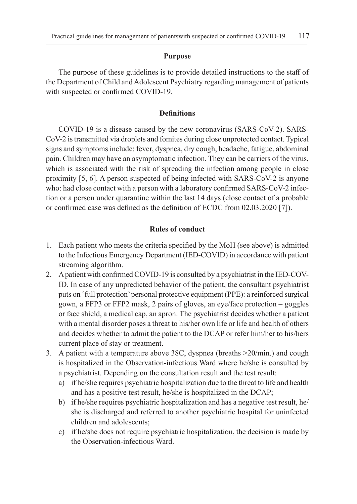#### **Purpose**

The purpose of these guidelines is to provide detailed instructions to the staff of the Department of Child and Adolescent Psychiatry regarding management of patients with suspected or confirmed COVID-19.

#### **Definitions**

COVID-19 is a disease caused by the new coronavirus (SARS-CoV-2). SARS-CoV-2 is transmitted via droplets and fomites during close unprotected contact. Typical signs and symptoms include: fever, dyspnea, dry cough, headache, fatigue, abdominal pain. Children may have an asymptomatic infection. They can be carriers of the virus, which is associated with the risk of spreading the infection among people in close proximity [5, 6]. A person suspected of being infected with SARS-CoV-2 is anyone who: had close contact with a person with a laboratory confirmed SARS-CoV-2 infection or a person under quarantine within the last 14 days (close contact of a probable or confirmed case was defined as the definition of ECDC from 02.03.2020 [7]).

### **Rules of conduct**

- 1. Each patient who meets the criteria specified by the MoH (see above) is admitted to the Infectious Emergency Department (IED-COVID) in accordance with patient streaming algorithm.
- 2. A patient with confirmed COVID-19 is consulted by a psychiatrist in the IED-COV-ID. In case of any unpredicted behavior of the patient, the consultant psychiatrist puts on 'full protection' personal protective equipment (PPE): a reinforced surgical gown, a FFP3 or FFP2 mask, 2 pairs of gloves, an eye/face protection – goggles or face shield, a medical cap, an apron. The psychiatrist decides whether a patient with a mental disorder poses a threat to his/her own life or life and health of others and decides whether to admit the patient to the DCAP or refer him/her to his/hers current place of stay or treatment.
- 3. A patient with a temperature above 38C, dyspnea (breaths >20/min.) and cough is hospitalized in the Observation-infectious Ward where he/she is consulted by a psychiatrist. Depending on the consultation result and the test result:
	- a) if he/she requires psychiatric hospitalization due to the threat to life and health and has a positive test result, he/she is hospitalized in the DCAP;
	- b) if he/she requires psychiatric hospitalization and has a negative test result, he/ she is discharged and referred to another psychiatric hospital for uninfected children and adolescents;
	- c) if he/she does not require psychiatric hospitalization, the decision is made by the Observation-infectious Ward.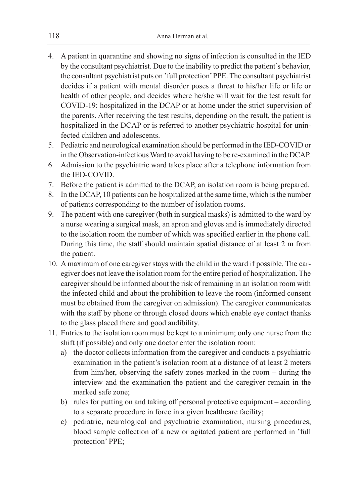- 4. A patient in quarantine and showing no signs of infection is consulted in the IED by the consultant psychiatrist. Due to the inability to predict the patient's behavior, the consultant psychiatrist puts on 'full protection' PPE. The consultant psychiatrist decides if a patient with mental disorder poses a threat to his/her life or life or health of other people, and decides where he/she will wait for the test result for COVID-19: hospitalized in the DCAP or at home under the strict supervision of the parents. After receiving the test results, depending on the result, the patient is hospitalized in the DCAP or is referred to another psychiatric hospital for uninfected children and adolescents.
- 5. Pediatric and neurological examination should be performed in the IED-COVID or in the Observation-infectious Ward to avoid having to be re-examined in the DCAP.
- 6. Admission to the psychiatric ward takes place after a telephone information from the IED-COVID.
- 7. Before the patient is admitted to the DCAP, an isolation room is being prepared.
- 8. In the DCAP, 10 patients can be hospitalized at the same time, which is the number of patients corresponding to the number of isolation rooms.
- 9. The patient with one caregiver (both in surgical masks) is admitted to the ward by a nurse wearing a surgical mask, an apron and gloves and is immediately directed to the isolation room the number of which was specified earlier in the phone call. During this time, the staff should maintain spatial distance of at least 2 m from the patient.
- 10. A maximum of one caregiver stays with the child in the ward if possible. The caregiver does not leave the isolation room for the entire period of hospitalization. The caregiver should be informed about the risk of remaining in an isolation room with the infected child and about the prohibition to leave the room (informed consent must be obtained from the caregiver on admission). The caregiver communicates with the staff by phone or through closed doors which enable eye contact thanks to the glass placed there and good audibility.
- 11. Entries to the isolation room must be kept to a minimum; only one nurse from the shift (if possible) and only one doctor enter the isolation room:
	- a) the doctor collects information from the caregiver and conducts a psychiatric examination in the patient's isolation room at a distance of at least 2 meters from him/her, observing the safety zones marked in the room – during the interview and the examination the patient and the caregiver remain in the marked safe zone;
	- b) rules for putting on and taking off personal protective equipment according to a separate procedure in force in a given healthcare facility;
	- c) pediatric, neurological and psychiatric examination, nursing procedures, blood sample collection of a new or agitated patient are performed in 'full protection' PPE;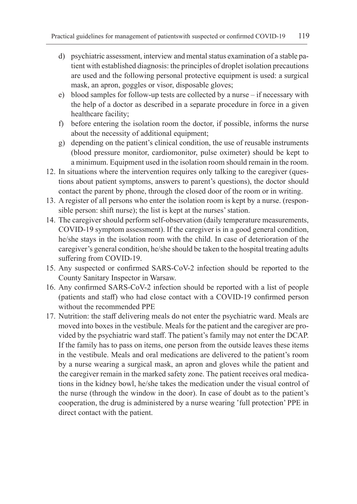- d) psychiatric assessment, interview and mental status examination of a stable patient with established diagnosis: the principles of droplet isolation precautions are used and the following personal protective equipment is used: a surgical mask, an apron, goggles or visor, disposable gloves;
- e) blood samples for follow-up tests are collected by a nurse if necessary with the help of a doctor as described in a separate procedure in force in a given healthcare facility;
- f) before entering the isolation room the doctor, if possible, informs the nurse about the necessity of additional equipment;
- g) depending on the patient's clinical condition, the use of reusable instruments (blood pressure monitor, cardiomonitor, pulse oximeter) should be kept to a minimum. Equipment used in the isolation room should remain in the room.
- 12. In situations where the intervention requires only talking to the caregiver (questions about patient symptoms, answers to parent's questions), the doctor should contact the parent by phone, through the closed door of the room or in writing.
- 13. A register of all persons who enter the isolation room is kept by a nurse. (responsible person: shift nurse); the list is kept at the nurses' station.
- 14. The caregiver should perform self-observation (daily temperature measurements, COVID-19 symptom assessment). If the caregiver is in a good general condition, he/she stays in the isolation room with the child. In case of deterioration of the caregiver's general condition, he/she should be taken to the hospital treating adults suffering from COVID-19.
- 15. Any suspected or confirmed SARS-CoV-2 infection should be reported to the County Sanitary Inspector in Warsaw.
- 16. Any confirmed SARS-CoV-2 infection should be reported with a list of people (patients and staff) who had close contact with a COVID-19 confirmed person without the recommended PPE
- 17. Nutrition: the staff delivering meals do not enter the psychiatric ward. Meals are moved into boxes in the vestibule. Meals for the patient and the caregiver are provided by the psychiatric ward staff. The patient's family may not enter the DCAP. If the family has to pass on items, one person from the outside leaves these items in the vestibule. Meals and oral medications are delivered to the patient's room by a nurse wearing a surgical mask, an apron and gloves while the patient and the caregiver remain in the marked safety zone. The patient receives oral medications in the kidney bowl, he/she takes the medication under the visual control of the nurse (through the window in the door). In case of doubt as to the patient's cooperation, the drug is administered by a nurse wearing 'full protection' PPE in direct contact with the patient.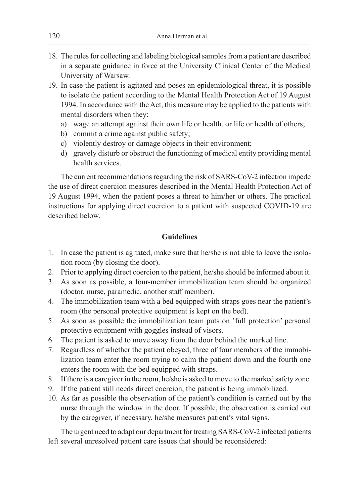- 18. The rules for collecting and labeling biological samples from a patient are described in a separate guidance in force at the University Clinical Center of the Medical University of Warsaw.
- 19. In case the patient is agitated and poses an epidemiological threat, it is possible to isolate the patient according to the Mental Health Protection Act of 19 August 1994. In accordance with the Act, this measure may be applied to the patients with mental disorders when they:
	- a) wage an attempt against their own life or health, or life or health of others;
	- b) commit a crime against public safety;
	- c) violently destroy or damage objects in their environment;
	- d) gravely disturb or obstruct the functioning of medical entity providing mental health services.

The current recommendations regarding the risk of SARS-CoV-2 infection impede the use of direct coercion measures described in the Mental Health Protection Act of 19 August 1994, when the patient poses a threat to him/her or others. The practical instructions for applying direct coercion to a patient with suspected COVID-19 are described below.

## **Guidelines**

- 1. In case the patient is agitated, make sure that he/she is not able to leave the isolation room (by closing the door).
- 2. Prior to applying direct coercion to the patient, he/she should be informed about it.
- 3. As soon as possible, a four-member immobilization team should be organized (doctor, nurse, paramedic, another staff member).
- 4. The immobilization team with a bed equipped with straps goes near the patient's room (the personal protective equipment is kept on the bed).
- 5. As soon as possible the immobilization team puts on 'full protection' personal protective equipment with goggles instead of visors.
- 6. The patient is asked to move away from the door behind the marked line.
- 7. Regardless of whether the patient obeyed, three of four members of the immobilization team enter the room trying to calm the patient down and the fourth one enters the room with the bed equipped with straps.
- 8. If there is a caregiver in the room, he/she is asked to move to the marked safety zone.
- 9. If the patient still needs direct coercion, the patient is being immobilized.
- 10. As far as possible the observation of the patient's condition is carried out by the nurse through the window in the door. If possible, the observation is carried out by the caregiver, if necessary, he/she measures patient's vital signs.

The urgent need to adapt our department for treating SARS-CoV-2 infected patients left several unresolved patient care issues that should be reconsidered: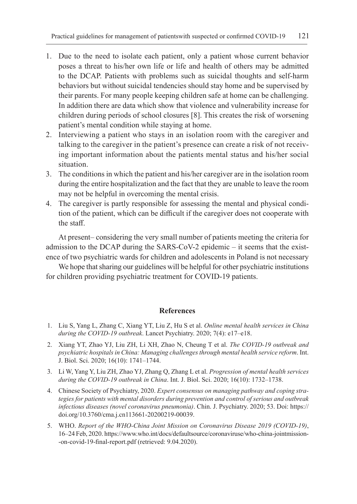- 1. Due to the need to isolate each patient, only a patient whose current behavior poses a threat to his/her own life or life and health of others may be admitted to the DCAP. Patients with problems such as suicidal thoughts and self-harm behaviors but without suicidal tendencies should stay home and be supervised by their parents. For many people keeping children safe at home can be challenging. In addition there are data which show that violence and vulnerability increase for children during periods of school closures [8]. This creates the risk of worsening patient's mental condition while staying at home.
- 2. Interviewing a patient who stays in an isolation room with the caregiver and talking to the caregiver in the patient's presence can create a risk of not receiving important information about the patients mental status and his/her social situation.
- 3. The conditions in which the patient and his/her caregiver are in the isolation room during the entire hospitalization and the fact that they are unable to leave the room may not be helpful in overcoming the mental crisis.
- 4. The caregiver is partly responsible for assessing the mental and physical condition of the patient, which can be difficult if the caregiver does not cooperate with the staff.

At present– considering the very small number of patients meeting the criteria for admission to the DCAP during the SARS-CoV-2 epidemic – it seems that the existence of two psychiatric wards for children and adolescents in Poland is not necessary

We hope that sharing our guidelines will be helpful for other psychiatric institutions for children providing psychiatric treatment for COVID-19 patients.

## **References**

- 1. Liu S, Yang L, Zhang C, Xiang YT, Liu Z, Hu S et al. *Online mental health services in China during the COVID-19 outbreak*. Lancet Psychiatry. 2020; 7(4): e17–e18.
- 2. Xiang YT, Zhao YJ, Liu ZH, Li XH, Zhao N, Cheung T et al. *The COVID-19 outbreak and psychiatric hospitals in China: Managing challenges through mental health service reform*. Int. J. Biol. Sci. 2020; 16(10): 1741–1744.
- 3. Li W, Yang Y, Liu ZH, Zhao YJ, Zhang Q, Zhang L et al. *Progression of mental health services during the COVID-19 outbreak in China*. Int. J. Biol. Sci. 2020; 16(10): 1732–1738.
- 4. Chinese Society of Psychiatry, 2020. *Expert consensus on managing pathway and coping strategies for patients with mental disorders during prevention and control of serious and outbreak infectious diseases (novel coronavirus pneumonia)*. Chin. J. Psychiatry. 2020; 53. Doi: https:// doi.org/10.3760/cma.j.cn113661-20200219-00039.
- 5. WHO. *Report of the WHO-China Joint Mission on Coronavirus Disease 2019 (COVID-19)*, 16–24 Feb, 2020. https://www.who.int/docs/defaultsource/coronaviruse/who-china-jointmission- -on-covid-19-final-report.pdf (retrieved: 9.04.2020).